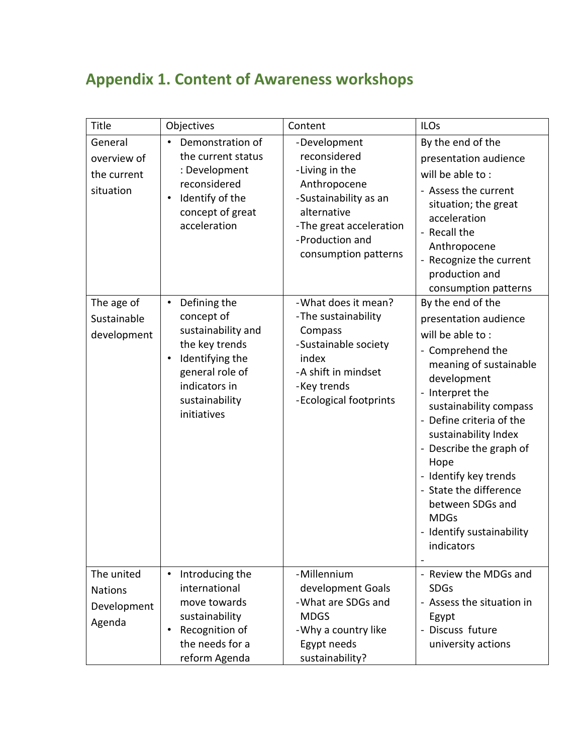## **Appendix 1. Content of Awareness workshops**

| Title                                                 | Objectives                                                                                                                                                                           | Content                                                                                                                                                                      | <b>ILOs</b>                                                                                                                                                                                                                                                                                                                                                                                      |
|-------------------------------------------------------|--------------------------------------------------------------------------------------------------------------------------------------------------------------------------------------|------------------------------------------------------------------------------------------------------------------------------------------------------------------------------|--------------------------------------------------------------------------------------------------------------------------------------------------------------------------------------------------------------------------------------------------------------------------------------------------------------------------------------------------------------------------------------------------|
| General<br>overview of<br>the current<br>situation    | Demonstration of<br>$\bullet$<br>the current status<br>: Development<br>reconsidered<br>Identify of the<br>$\bullet$<br>concept of great<br>acceleration                             | -Development<br>reconsidered<br>-Living in the<br>Anthropocene<br>-Sustainability as an<br>alternative<br>-The great acceleration<br>-Production and<br>consumption patterns | By the end of the<br>presentation audience<br>will be able to:<br>- Assess the current<br>situation; the great<br>acceleration<br>- Recall the<br>Anthropocene<br>- Recognize the current<br>production and<br>consumption patterns                                                                                                                                                              |
| The age of<br>Sustainable<br>development              | Defining the<br>$\bullet$<br>concept of<br>sustainability and<br>the key trends<br>Identifying the<br>$\bullet$<br>general role of<br>indicators in<br>sustainability<br>initiatives | - What does it mean?<br>-The sustainability<br>Compass<br>-Sustainable society<br>index<br>-A shift in mindset<br>-Key trends<br>-Ecological footprints                      | By the end of the<br>presentation audience<br>will be able to:<br>- Comprehend the<br>meaning of sustainable<br>development<br>- Interpret the<br>sustainability compass<br>- Define criteria of the<br>sustainability Index<br>- Describe the graph of<br>Hope<br>- Identify key trends<br>- State the difference<br>between SDGs and<br><b>MDGs</b><br>- Identify sustainability<br>indicators |
| The united<br><b>Nations</b><br>Development<br>Agenda | Introducing the<br>$\bullet$<br>international<br>move towards<br>sustainability<br>Recognition of<br>$\bullet$<br>the needs for a<br>reform Agenda                                   | -Millennium<br>development Goals<br>- What are SDGs and<br><b>MDGS</b><br>- Why a country like<br>Egypt needs<br>sustainability?                                             | - Review the MDGs and<br><b>SDGs</b><br>- Assess the situation in<br>Egypt<br>Discuss future<br>university actions                                                                                                                                                                                                                                                                               |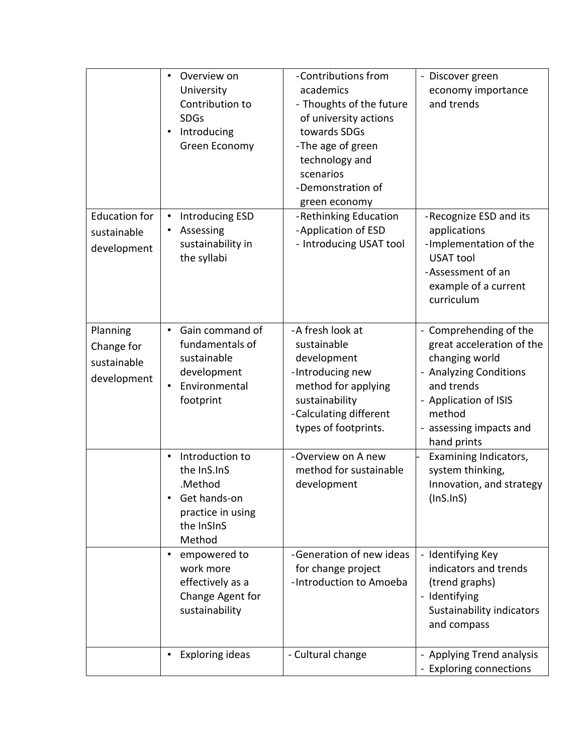|                                                      | Overview on<br>$\bullet$<br>University<br>Contribution to<br><b>SDGs</b><br>Introducing<br>Green Economy                 | -Contributions from<br>academics<br>- Thoughts of the future<br>of university actions<br>towards SDGs<br>-The age of green<br>technology and<br>scenarios<br>-Demonstration of<br>green economy | - Discover green<br>economy importance<br>and trends                                                                                                                                       |
|------------------------------------------------------|--------------------------------------------------------------------------------------------------------------------------|-------------------------------------------------------------------------------------------------------------------------------------------------------------------------------------------------|--------------------------------------------------------------------------------------------------------------------------------------------------------------------------------------------|
| <b>Education for</b><br>sustainable<br>development   | Introducing ESD<br>$\bullet$<br>Assessing<br>$\bullet$<br>sustainability in<br>the syllabi                               | -Rethinking Education<br>-Application of ESD<br>- Introducing USAT tool                                                                                                                         | -Recognize ESD and its<br>applications<br>-Implementation of the<br><b>USAT tool</b><br>-Assessment of an<br>example of a current<br>curriculum                                            |
| Planning<br>Change for<br>sustainable<br>development | Gain command of<br>$\bullet$<br>fundamentals of<br>sustainable<br>development<br>Environmental<br>$\bullet$<br>footprint | -A fresh look at<br>sustainable<br>development<br>-Introducing new<br>method for applying<br>sustainability<br>-Calculating different<br>types of footprints.                                   | - Comprehending of the<br>great acceleration of the<br>changing world<br>- Analyzing Conditions<br>and trends<br>- Application of ISIS<br>method<br>- assessing impacts and<br>hand prints |
|                                                      | Introduction to<br>$\bullet$<br>the InS.InS<br>.Method<br>Get hands-on<br>practice in using<br>the InSInS<br>Method      | -Overview on A new<br>method for sustainable<br>development                                                                                                                                     | Examining Indicators,<br>system thinking,<br>Innovation, and strategy<br>(InS. InS)                                                                                                        |
|                                                      | empowered to<br>$\bullet$<br>work more<br>effectively as a<br>Change Agent for<br>sustainability                         | -Generation of new ideas<br>for change project<br>-Introduction to Amoeba                                                                                                                       | - Identifying Key<br>indicators and trends<br>(trend graphs)<br>- Identifying<br>Sustainability indicators<br>and compass                                                                  |
|                                                      | <b>Exploring ideas</b><br>$\bullet$                                                                                      | - Cultural change                                                                                                                                                                               | - Applying Trend analysis<br>- Exploring connections                                                                                                                                       |